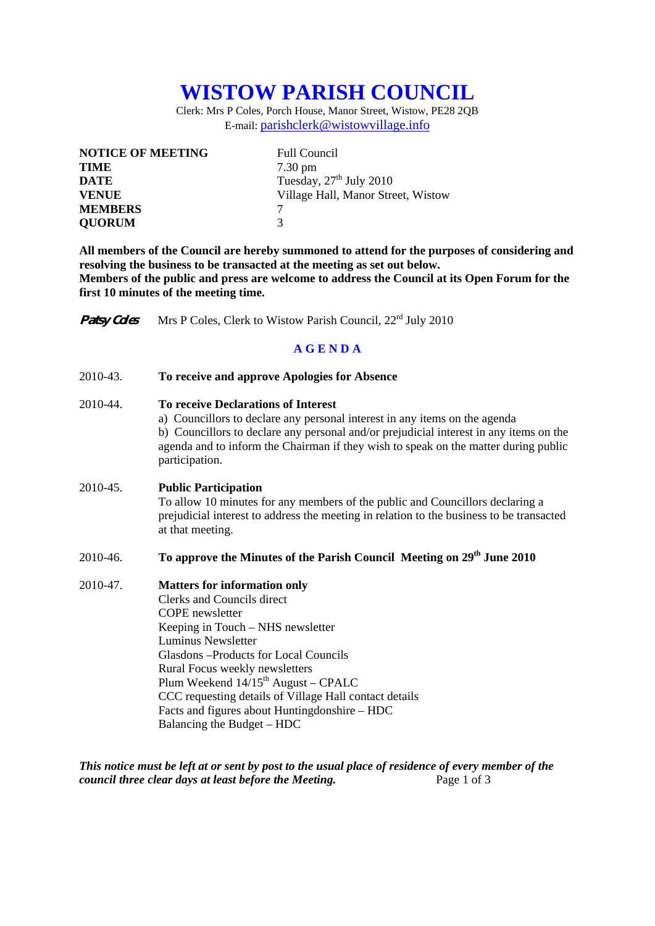# **WISTOW PARISH COUNCIL**

Clerk: Mrs P Coles, Porch House, Manor Street, Wistow, PE28 2QB E-mail: parishclerk@wistowvillage.info

| <b>NOTICE OF MEETING</b> | <b>Full Council</b>                |
|--------------------------|------------------------------------|
| <b>TIME</b>              | $7.30 \text{ pm}$                  |
| <b>DATE</b>              | Tuesday, $27th$ July 2010          |
| <b>VENUE</b>             | Village Hall, Manor Street, Wistow |
| <b>MEMBERS</b>           |                                    |
| <b>QUORUM</b>            | 3                                  |

**All members of the Council are hereby summoned to attend for the purposes of considering and resolving the business to be transacted at the meeting as set out below. Members of the public and press are welcome to address the Council at its Open Forum for the first 10 minutes of the meeting time.** 

**Patsy Coles** Mrs P Coles, Clerk to Wistow Parish Council, 22<sup>rd</sup> July 2010

#### **A G E N D A**

| 2010-43. | To receive and approve Apologies for Absence |  |
|----------|----------------------------------------------|--|
|----------|----------------------------------------------|--|

### 2010-44. **To receive Declarations of Interest**

 a) Councillors to declare any personal interest in any items on the agenda b) Councillors to declare any personal and/or prejudicial interest in any items on the agenda and to inform the Chairman if they wish to speak on the matter during public participation.

#### 2010-45. **Public Participation**

To allow 10 minutes for any members of the public and Councillors declaring a prejudicial interest to address the meeting in relation to the business to be transacted at that meeting.

## 2010-46. **To approve the Minutes of the Parish Council Meeting on 29th June 2010**

#### 2010-47. **Matters for information only**

 Clerks and Councils direct COPE newsletter Keeping in Touch – NHS newsletter Luminus Newsletter Glasdons –Products for Local Councils Rural Focus weekly newsletters Plum Weekend  $14/15^{\text{th}}$  August – CPALC CCC requesting details of Village Hall contact details Facts and figures about Huntingdonshire – HDC Balancing the Budget – HDC

*This notice must be left at or sent by post to the usual place of residence of every member of the council three clear days at least before the Meeting.* Page 1 of 3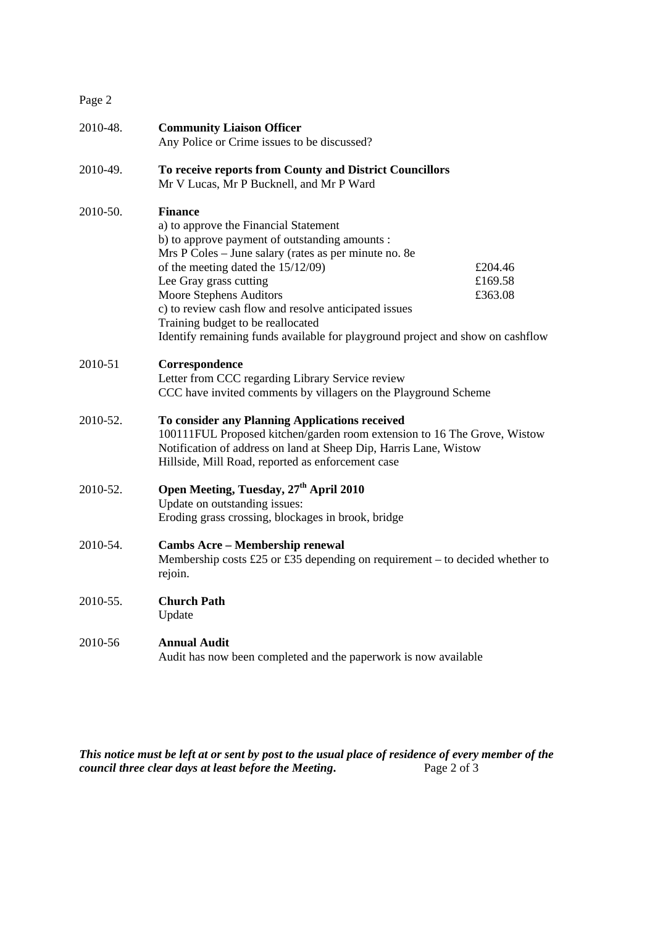| Page 2   |                                                                                                                                                                                                                                                                                                                                                                                                                                               |                               |
|----------|-----------------------------------------------------------------------------------------------------------------------------------------------------------------------------------------------------------------------------------------------------------------------------------------------------------------------------------------------------------------------------------------------------------------------------------------------|-------------------------------|
| 2010-48. | <b>Community Liaison Officer</b><br>Any Police or Crime issues to be discussed?                                                                                                                                                                                                                                                                                                                                                               |                               |
| 2010-49. | To receive reports from County and District Councillors<br>Mr V Lucas, Mr P Bucknell, and Mr P Ward                                                                                                                                                                                                                                                                                                                                           |                               |
| 2010-50. | <b>Finance</b><br>a) to approve the Financial Statement<br>b) to approve payment of outstanding amounts :<br>Mrs P Coles - June salary (rates as per minute no. 8e<br>of the meeting dated the 15/12/09)<br>Lee Gray grass cutting<br>Moore Stephens Auditors<br>c) to review cash flow and resolve anticipated issues<br>Training budget to be reallocated<br>Identify remaining funds available for playground project and show on cashflow | £204.46<br>£169.58<br>£363.08 |
| 2010-51  | Correspondence<br>Letter from CCC regarding Library Service review<br>CCC have invited comments by villagers on the Playground Scheme                                                                                                                                                                                                                                                                                                         |                               |
| 2010-52. | To consider any Planning Applications received<br>100111FUL Proposed kitchen/garden room extension to 16 The Grove, Wistow<br>Notification of address on land at Sheep Dip, Harris Lane, Wistow<br>Hillside, Mill Road, reported as enforcement case                                                                                                                                                                                          |                               |
| 2010-52. | Open Meeting, Tuesday, 27 <sup>th</sup> April 2010<br>Update on outstanding issues:<br>Eroding grass crossing, blockages in brook, bridge                                                                                                                                                                                                                                                                                                     |                               |
| 2010-54. | <b>Cambs Acre - Membership renewal</b><br>Membership costs £25 or £35 depending on requirement – to decided whether to<br>rejoin.                                                                                                                                                                                                                                                                                                             |                               |
| 2010-55. | <b>Church Path</b><br>Update                                                                                                                                                                                                                                                                                                                                                                                                                  |                               |
| 2010-56  | <b>Annual Audit</b><br>Audit has now been completed and the paperwork is now available                                                                                                                                                                                                                                                                                                                                                        |                               |

*This notice must be left at or sent by post to the usual place of residence of every member of the council three clear days at least before the Meeting.* Page 2 of 3